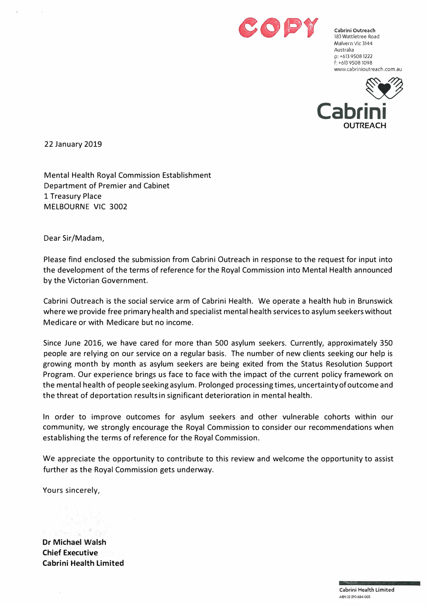

**Cabrini Outreach**  183 Wattletree Road Malvern Vic 3144 Australia **p:** +613 95081222 f: +613 95081098 www.cabrinioutreach.com.au



22 January 2019

Mental Health Royal Commission Establishment Department of Premier and Cabinet 1 Treasury Place MELBOURNE VIC 3002

Dear Sir/Madam,

Please find enclosed the submission from Cabrini Outreach in response to the request for input into the development of the terms of reference for the Royal Commission into Mental Health announced by the Victorian Government.

Cabrini Outreach is the social service arm of Cabrini Health. We operate a health hub in Brunswick where we provide free primaryhealth and specialist mental health servicesto asylumseekerswithout Medicare or with Medicare but no income.

Since June 2016, we have cared for more than 500 asylum seekers. Currently, approximately 350 people are relying on our service on a regular basis. The number of new clients seeking our help is growing month by month as asylum seekers are being exited from the Status Resolution Support Program. Our experience brings us face to face with the impact of the current policy framework on the mental health of people seeking asylum. Prolonged processing times, uncertaintyofoutcome and the threat of deportation resultsin significant deterioration in mental health.

In order to improve outcomes for asylum seekers and other vulnerable cohorts within our community, we strongly encourage the Royal Commission to consider our recommendations when establishing the terms of reference for the Royal Commission.

We appreciate the opportunity to contribute to this review and welcome the opportunity to assist further as the Royal Commission gets underway.

Yours sincerely,

**Dr Michael Walsh Chief Executive Cabrini Health Limited**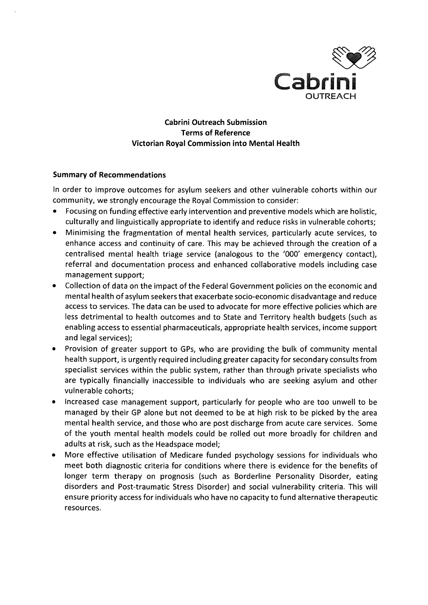

**Cabrini Outreach Submission Terms of Reference** Victorian Royal Commission into Mental Health

### **Summary of Recommendations**

In order to improve outcomes for asylum seekers and other vulnerable cohorts within our community, we strongly encourage the Royal Commission to consider:

- Focusing on funding effective early intervention and preventive models which are holistic, culturally and linguistically appropriate to identify and reduce risks in vulnerable cohorts;
- Minimising the fragmentation of mental health services, particularly acute services, to enhance access and continuity of care. This may be achieved through the creation of a centralised mental health triage service (analogous to the '000' emergency contact), referral and documentation process and enhanced collaborative models including case management support;
- Collection of data on the impact of the Federal Government policies on the economic and mental health of asylum seekers that exacerbate socio-economic disadvantage and reduce access to services. The data can be used to advocate for more effective policies which are less detrimental to health outcomes and to State and Territory health budgets (such as enabling access to essential pharmaceuticals, appropriate health services, income support and legal services);
- Provision of greater support to GPs, who are providing the bulk of community mental health support, is urgently required including greater capacity for secondary consults from specialist services within the public system, rather than through private specialists who are typically financially inaccessible to individuals who are seeking asylum and other vulnerable cohorts;
- Increased case management support, particularly for people who are too unwell to be managed by their GP alone but not deemed to be at high risk to be picked by the area mental health service, and those who are post discharge from acute care services. Some of the youth mental health models could be rolled out more broadly for children and adults at risk, such as the Headspace model;
- More effective utilisation of Medicare funded psychology sessions for individuals who meet both diagnostic criteria for conditions where there is evidence for the benefits of longer term therapy on prognosis (such as Borderline Personality Disorder, eating disorders and Post-traumatic Stress Disorder) and social vulnerability criteria. This will ensure priority access for individuals who have no capacity to fund alternative therapeutic resources.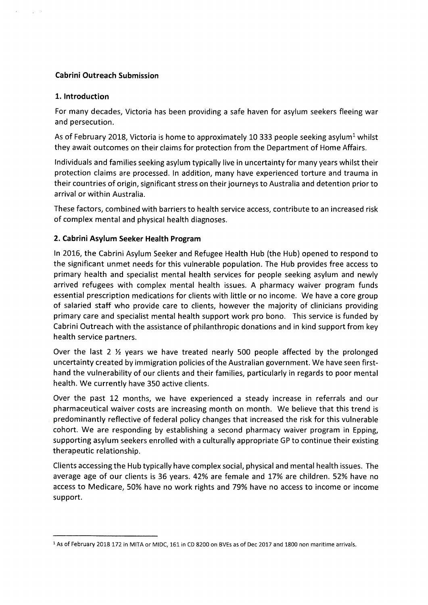## **Cabrini Outreach Submission**

### 1. Introduction

For many decades, Victoria has been providing a safe haven for asylum seekers fleeing war and persecution.

As of February 2018, Victoria is home to approximately 10 333 people seeking asylum<sup>1</sup> whilst they await outcomes on their claims for protection from the Department of Home Affairs.

Individuals and families seeking asylum typically live in uncertainty for many years whilst their protection claims are processed. In addition, many have experienced torture and trauma in their countries of origin, significant stress on their journeys to Australia and detention prior to arrival or within Australia

These factors, combined with barriers to health service access, contribute to an increased risk of complex mental and physical health diagnoses.

## 2. Cabrini Asylum Seeker Health Program

In 2016, the Cabrini Asylum Seeker and Refugee Health Hub (the Hub) opened to respond to the significant unmet needs for this vulnerable population. The Hub provides free access to primary health and specialist mental health services for people seeking asylum and newly arrived refugees with complex mental health issues. A pharmacy waiver program funds essential prescription medications for clients with little or no income. We have a core group of salaried staff who provide care to clients, however the majority of clinicians providing primary care and specialist mental health support work pro bono. This service is funded by Cabrini Outreach with the assistance of philanthropic donations and in kind support from key health service partners.

Over the last 2  $\frac{1}{2}$  years we have treated nearly 500 people affected by the prolonged uncertainty created by immigration policies of the Australian government. We have seen firsthand the vulnerability of our clients and their families, particularly in regards to poor mental health. We currently have 350 active clients.

Over the past 12 months, we have experienced a steady increase in referrals and our pharmaceutical waiver costs are increasing month on month. We believe that this trend is predominantly reflective of federal policy changes that increased the risk for this vulnerable cohort. We are responding by establishing a second pharmacy waiver program in Epping, supporting asylum seekers enrolled with a culturally appropriate GP to continue their existing therapeutic relationship.

Clients accessing the Hub typically have complex social, physical and mental health issues. The average age of our clients is 36 years. 42% are female and 17% are children. 52% have no access to Medicare, 50% have no work rights and 79% have no access to income or income support.

<sup>&</sup>lt;sup>1</sup> As of February 2018 172 in MITA or MIDC, 161 in CD 8200 on BVEs as of Dec 2017 and 1800 non maritime arrivals.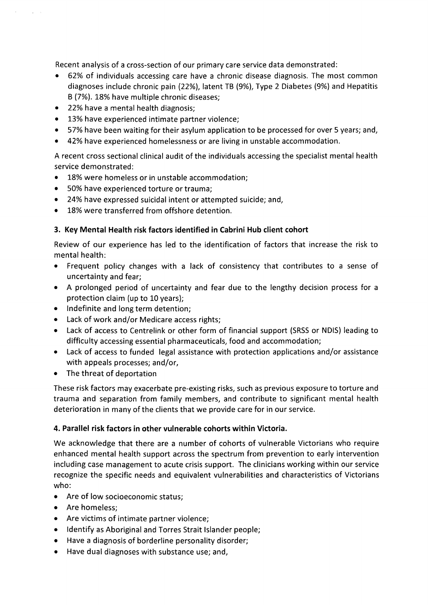Recent analysis of a cross-section of our primary care service data demonstrated:

- $\bullet$ 62% of individuals accessing care have a chronic disease diagnosis. The most common diagnoses include chronic pain (22%), latent TB (9%), Type 2 Diabetes (9%) and Hepatitis B (7%). 18% have multiple chronic diseases;
- 22% have a mental health diagnosis;

 $\sim 10^{-10}$ 

- 13% have experienced intimate partner violence;
- 57% have been waiting for their asylum application to be processed for over 5 years; and,
- 42% have experienced homelessness or are living in unstable accommodation.

A recent cross sectional clinical audit of the individuals accessing the specialist mental health service demonstrated:

- 18% were homeless or in unstable accommodation:
- 50% have experienced torture or trauma;
- 24% have expressed suicidal intent or attempted suicide; and,
- 18% were transferred from offshore detention.  $\bullet$

# 3. Key Mental Health risk factors identified in Cabrini Hub client cohort

Review of our experience has led to the identification of factors that increase the risk to mental health:

- Frequent policy changes with a lack of consistency that contributes to a sense of uncertainty and fear;
- A prolonged period of uncertainty and fear due to the lengthy decision process for a protection claim (up to 10 years);
- Indefinite and long term detention;
- Lack of work and/or Medicare access rights;  $\bullet$
- $\bullet$ Lack of access to Centrelink or other form of financial support (SRSS or NDIS) leading to difficulty accessing essential pharmaceuticals, food and accommodation;
- Lack of access to funded legal assistance with protection applications and/or assistance with appeals processes; and/or,
- The threat of deportation

These risk factors may exacerbate pre-existing risks, such as previous exposure to torture and trauma and separation from family members, and contribute to significant mental health deterioration in many of the clients that we provide care for in our service.

## 4. Parallel risk factors in other vulnerable cohorts within Victoria.

We acknowledge that there are a number of cohorts of vulnerable Victorians who require enhanced mental health support across the spectrum from prevention to early intervention including case management to acute crisis support. The clinicians working within our service recognize the specific needs and equivalent vulnerabilities and characteristics of Victorians who:

- Are of low socioeconomic status;
- Are homeless:
- Are victims of intimate partner violence;
- Identify as Aboriginal and Torres Strait Islander people;
- Have a diagnosis of borderline personality disorder;  $\bullet$
- Have dual diagnoses with substance use; and,  $\bullet$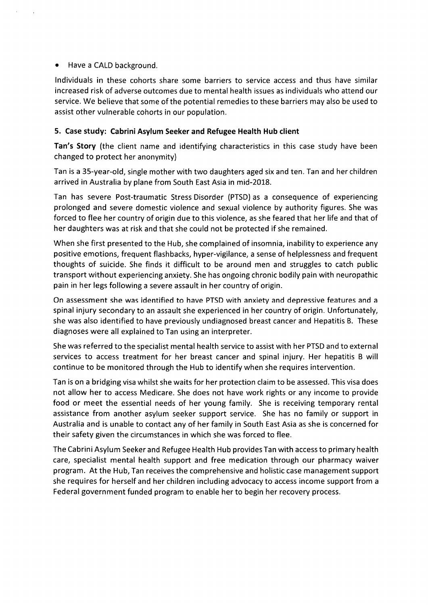### Have a CALD background.

Individuals in these cohorts share some barriers to service access and thus have similar increased risk of adverse outcomes due to mental health issues as individuals who attend our service. We believe that some of the potential remedies to these barriers may also be used to assist other vulnerable cohorts in our population.

## 5. Case study: Cabrini Asylum Seeker and Refugee Health Hub client

Tan's Story (the client name and identifying characteristics in this case study have been changed to protect her anonymity)

Tan is a 35-year-old, single mother with two daughters aged six and ten. Tan and her children arrived in Australia by plane from South East Asia in mid-2018.

Tan has severe Post-traumatic Stress Disorder (PTSD) as a consequence of experiencing prolonged and severe domestic violence and sexual violence by authority figures. She was forced to flee her country of origin due to this violence, as she feared that her life and that of her daughters was at risk and that she could not be protected if she remained.

When she first presented to the Hub, she complained of insomnia, inability to experience any positive emotions, frequent flashbacks, hyper-vigilance, a sense of helplessness and frequent thoughts of suicide. She finds it difficult to be around men and struggles to catch public transport without experiencing anxiety. She has ongoing chronic bodily pain with neuropathic pain in her legs following a severe assault in her country of origin.

On assessment she was identified to have PTSD with anxiety and depressive features and a spinal injury secondary to an assault she experienced in her country of origin. Unfortunately, she was also identified to have previously undiagnosed breast cancer and Hepatitis B. These diagnoses were all explained to Tan using an interpreter.

She was referred to the specialist mental health service to assist with her PTSD and to external services to access treatment for her breast cancer and spinal injury. Her hepatitis B will continue to be monitored through the Hub to identify when she requires intervention.

Tan is on a bridging visa whilst she waits for her protection claim to be assessed. This visa does not allow her to access Medicare. She does not have work rights or any income to provide food or meet the essential needs of her young family. She is receiving temporary rental assistance from another asylum seeker support service. She has no family or support in Australia and is unable to contact any of her family in South East Asia as she is concerned for their safety given the circumstances in which she was forced to flee.

The Cabrini Asylum Seeker and Refugee Health Hub provides Tan with access to primary health care, specialist mental health support and free medication through our pharmacy waiver program. At the Hub, Tan receives the comprehensive and holistic case management support she requires for herself and her children including advocacy to access income support from a Federal government funded program to enable her to begin her recovery process.